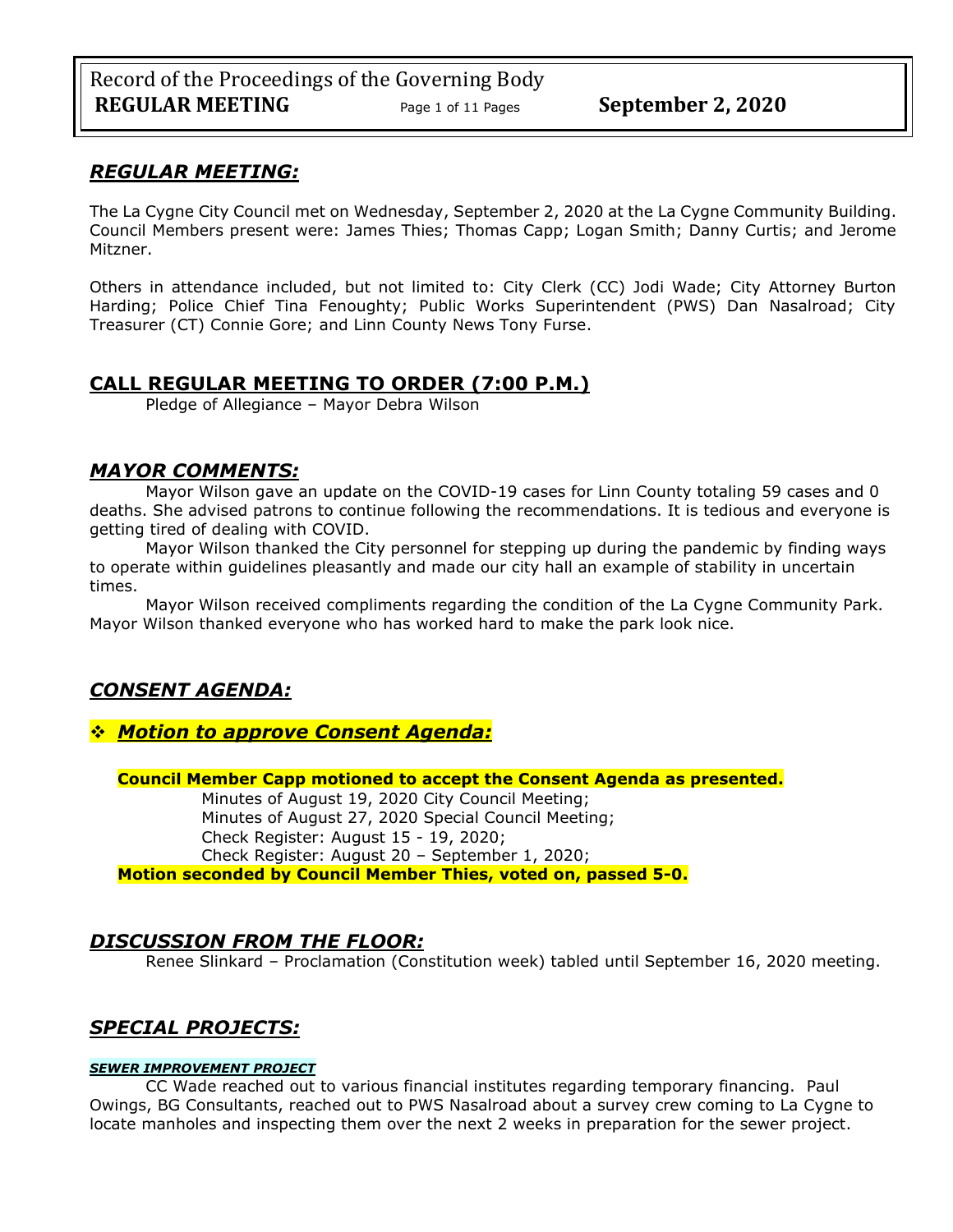# *REGULAR MEETING:*

The La Cygne City Council met on Wednesday, September 2, 2020 at the La Cygne Community Building. Council Members present were: James Thies; Thomas Capp; Logan Smith; Danny Curtis; and Jerome Mitzner.

Others in attendance included, but not limited to: City Clerk (CC) Jodi Wade; City Attorney Burton Harding; Police Chief Tina Fenoughty; Public Works Superintendent (PWS) Dan Nasalroad; City Treasurer (CT) Connie Gore; and Linn County News Tony Furse.

# **CALL REGULAR MEETING TO ORDER (7:00 P.M.)**

Pledge of Allegiance – Mayor Debra Wilson

# *MAYOR COMMENTS:*

Mayor Wilson gave an update on the COVID-19 cases for Linn County totaling 59 cases and 0 deaths. She advised patrons to continue following the recommendations. It is tedious and everyone is getting tired of dealing with COVID.

Mayor Wilson thanked the City personnel for stepping up during the pandemic by finding ways to operate within guidelines pleasantly and made our city hall an example of stability in uncertain times.

Mayor Wilson received compliments regarding the condition of the La Cygne Community Park. Mayor Wilson thanked everyone who has worked hard to make the park look nice.

# *CONSENT AGENDA:*

# ❖ *Motion to approve Consent Agenda:*

**Council Member Capp motioned to accept the Consent Agenda as presented.**

Minutes of August 19, 2020 City Council Meeting; Minutes of August 27, 2020 Special Council Meeting; Check Register: August 15 - 19, 2020; Check Register: August 20 – September 1, 2020; **Motion seconded by Council Member Thies, voted on, passed 5-0.** 

# *DISCUSSION FROM THE FLOOR:*

Renee Slinkard – Proclamation (Constitution week) tabled until September 16, 2020 meeting.

# *SPECIAL PROJECTS:*

### *SEWER IMPROVEMENT PROJECT*

CC Wade reached out to various financial institutes regarding temporary financing. Paul Owings, BG Consultants, reached out to PWS Nasalroad about a survey crew coming to La Cygne to locate manholes and inspecting them over the next 2 weeks in preparation for the sewer project.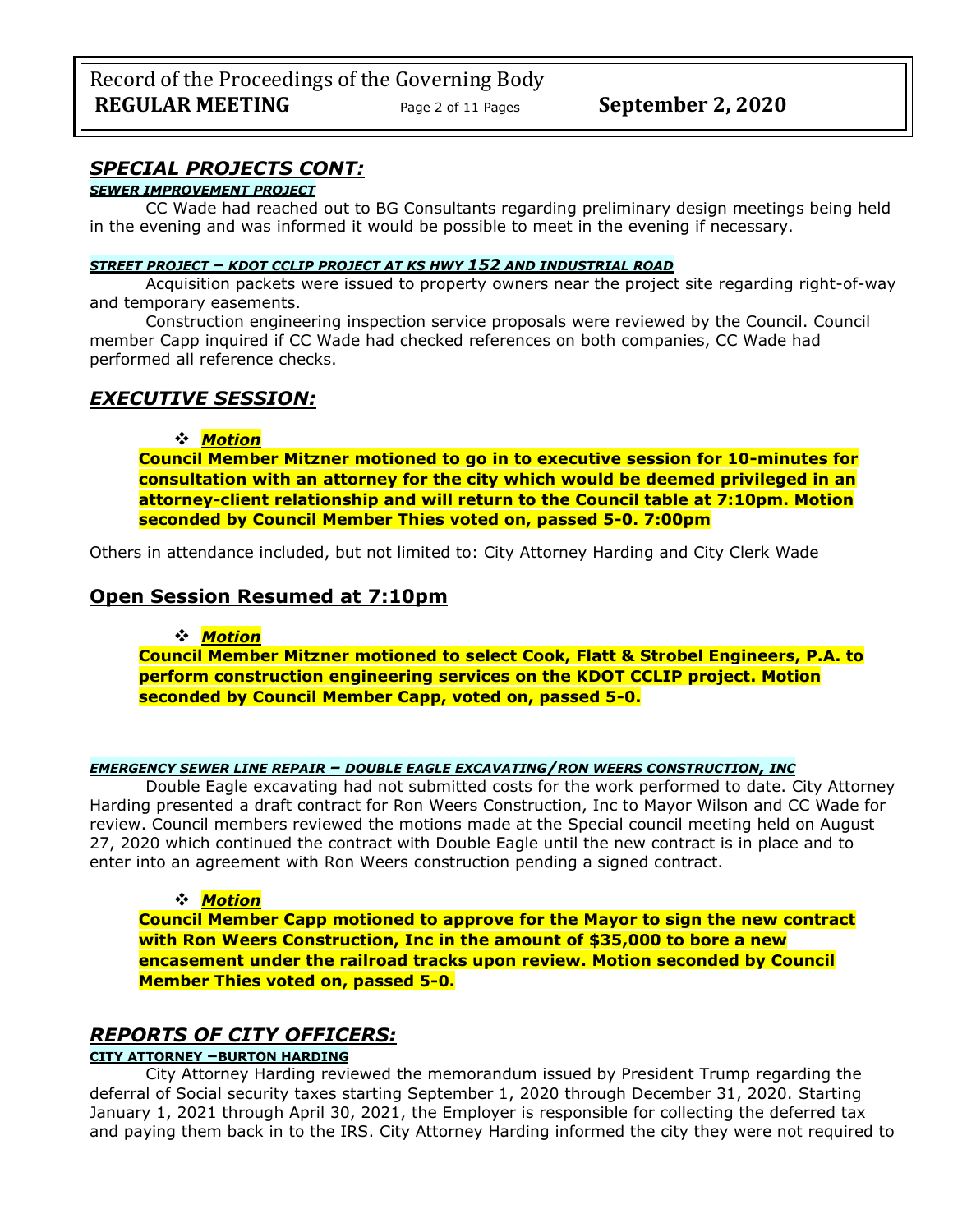# *SPECIAL PROJECTS CONT:*

### *SEWER IMPROVEMENT PROJECT*

CC Wade had reached out to BG Consultants regarding preliminary design meetings being held in the evening and was informed it would be possible to meet in the evening if necessary.

#### *STREET PROJECT – KDOT CCLIP PROJECT AT KS HWY 152 AND INDUSTRIAL ROAD*

Acquisition packets were issued to property owners near the project site regarding right-of-way and temporary easements.

Construction engineering inspection service proposals were reviewed by the Council. Council member Capp inquired if CC Wade had checked references on both companies, CC Wade had performed all reference checks.

### *EXECUTIVE SESSION:*

### ❖ *Motion*

**Council Member Mitzner motioned to go in to executive session for 10-minutes for consultation with an attorney for the city which would be deemed privileged in an attorney-client relationship and will return to the Council table at 7:10pm. Motion seconded by Council Member Thies voted on, passed 5-0. 7:00pm** 

Others in attendance included, but not limited to: City Attorney Harding and City Clerk Wade

# **Open Session Resumed at 7:10pm**

### ❖ *Motion*

**Council Member Mitzner motioned to select Cook, Flatt & Strobel Engineers, P.A. to perform construction engineering services on the KDOT CCLIP project. Motion seconded by Council Member Capp, voted on, passed 5-0.** 

#### *EMERGENCY SEWER LINE REPAIR – DOUBLE EAGLE EXCAVATING/RON WEERS CONSTRUCTION, INC*

Double Eagle excavating had not submitted costs for the work performed to date. City Attorney Harding presented a draft contract for Ron Weers Construction, Inc to Mayor Wilson and CC Wade for review. Council members reviewed the motions made at the Special council meeting held on August 27, 2020 which continued the contract with Double Eagle until the new contract is in place and to enter into an agreement with Ron Weers construction pending a signed contract.

### ❖ *Motion*

**Council Member Capp motioned to approve for the Mayor to sign the new contract with Ron Weers Construction, Inc in the amount of \$35,000 to bore a new encasement under the railroad tracks upon review. Motion seconded by Council Member Thies voted on, passed 5-0.** 

### *REPORTS OF CITY OFFICERS:*

### **CITY ATTORNEY –BURTON HARDING**

City Attorney Harding reviewed the memorandum issued by President Trump regarding the deferral of Social security taxes starting September 1, 2020 through December 31, 2020. Starting January 1, 2021 through April 30, 2021, the Employer is responsible for collecting the deferred tax and paying them back in to the IRS. City Attorney Harding informed the city they were not required to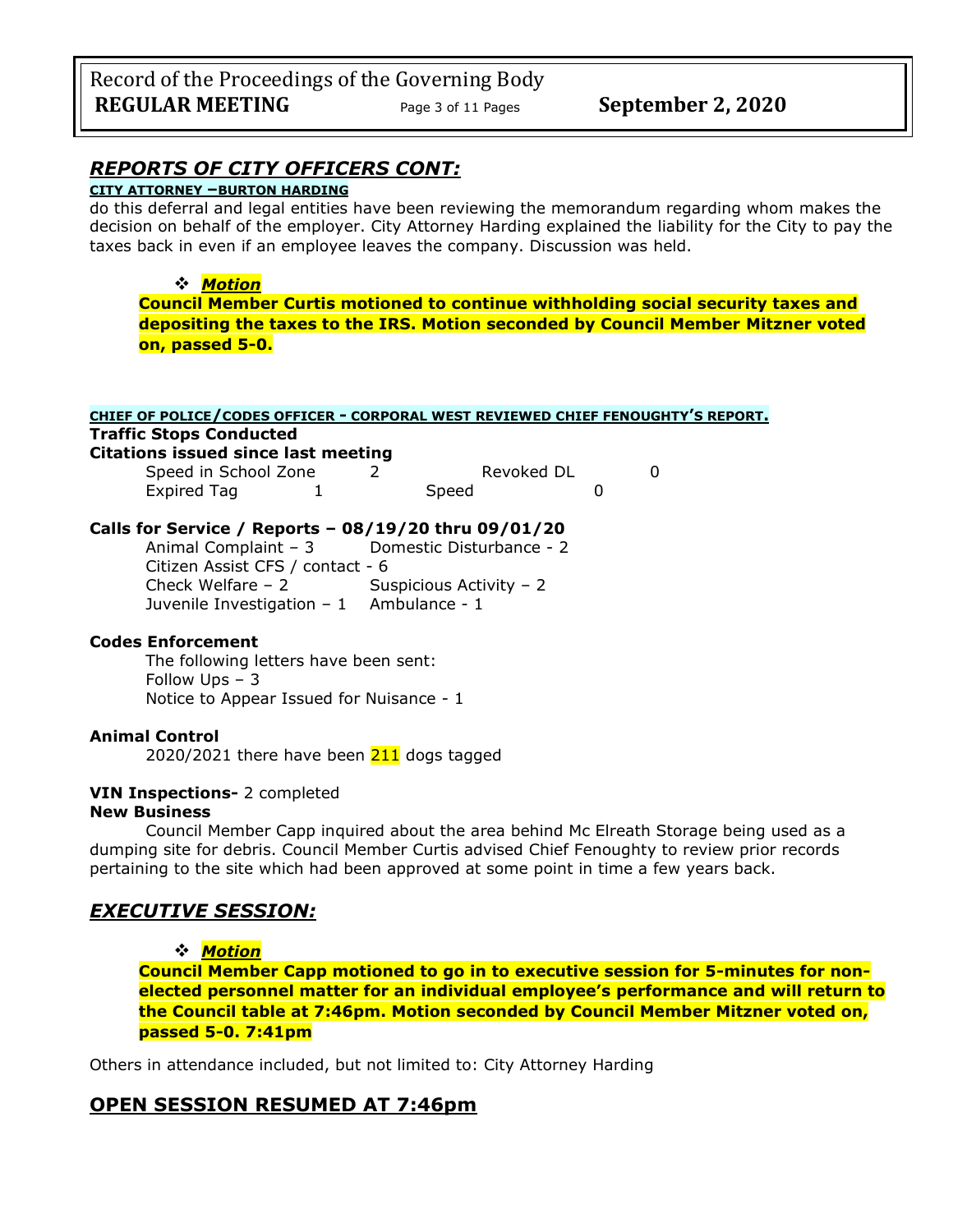# **CITY ATTORNEY –BURTON HARDING**

do this deferral and legal entities have been reviewing the memorandum regarding whom makes the decision on behalf of the employer. City Attorney Harding explained the liability for the City to pay the taxes back in even if an employee leaves the company. Discussion was held.

### ❖ *Motion*

**Council Member Curtis motioned to continue withholding social security taxes and depositing the taxes to the IRS. Motion seconded by Council Member Mitzner voted on, passed 5-0.** 

| CHIEF OF POLICE/CODES OFFICER - CORPORAL WEST REVIEWED CHIEF FENOUGHTY'S REPORT. |  |       |            |  |  |
|----------------------------------------------------------------------------------|--|-------|------------|--|--|
| <b>Traffic Stops Conducted</b>                                                   |  |       |            |  |  |
| <b>Citations issued since last meeting</b>                                       |  |       |            |  |  |
| Speed in School Zone                                                             |  |       | Revoked DL |  |  |
| <b>Expired Tag</b>                                                               |  | Speed |            |  |  |
|                                                                                  |  |       |            |  |  |

### **Calls for Service / Reports – 08/19/20 thru 09/01/20**

Animal Complaint – 3 Domestic Disturbance - 2 Citizen Assist CFS / contact - 6 Check Welfare – 2 Suspicious Activity – 2 Juvenile Investigation  $-1$  Ambulance - 1

### **Codes Enforcement**

The following letters have been sent: Follow Ups – 3 Notice to Appear Issued for Nuisance - 1

### **Animal Control**

2020/2021 there have been  $211$  dogs tagged

### **VIN Inspections-** 2 completed **New Business**

Council Member Capp inquired about the area behind Mc Elreath Storage being used as a dumping site for debris. Council Member Curtis advised Chief Fenoughty to review prior records pertaining to the site which had been approved at some point in time a few years back.

# *EXECUTIVE SESSION:*

❖ *Motion* 

**Council Member Capp motioned to go in to executive session for 5-minutes for nonelected personnel matter for an individual employee's performance and will return to the Council table at 7:46pm. Motion seconded by Council Member Mitzner voted on, passed 5-0. 7:41pm** 

Others in attendance included, but not limited to: City Attorney Harding

### **OPEN SESSION RESUMED AT 7:46pm**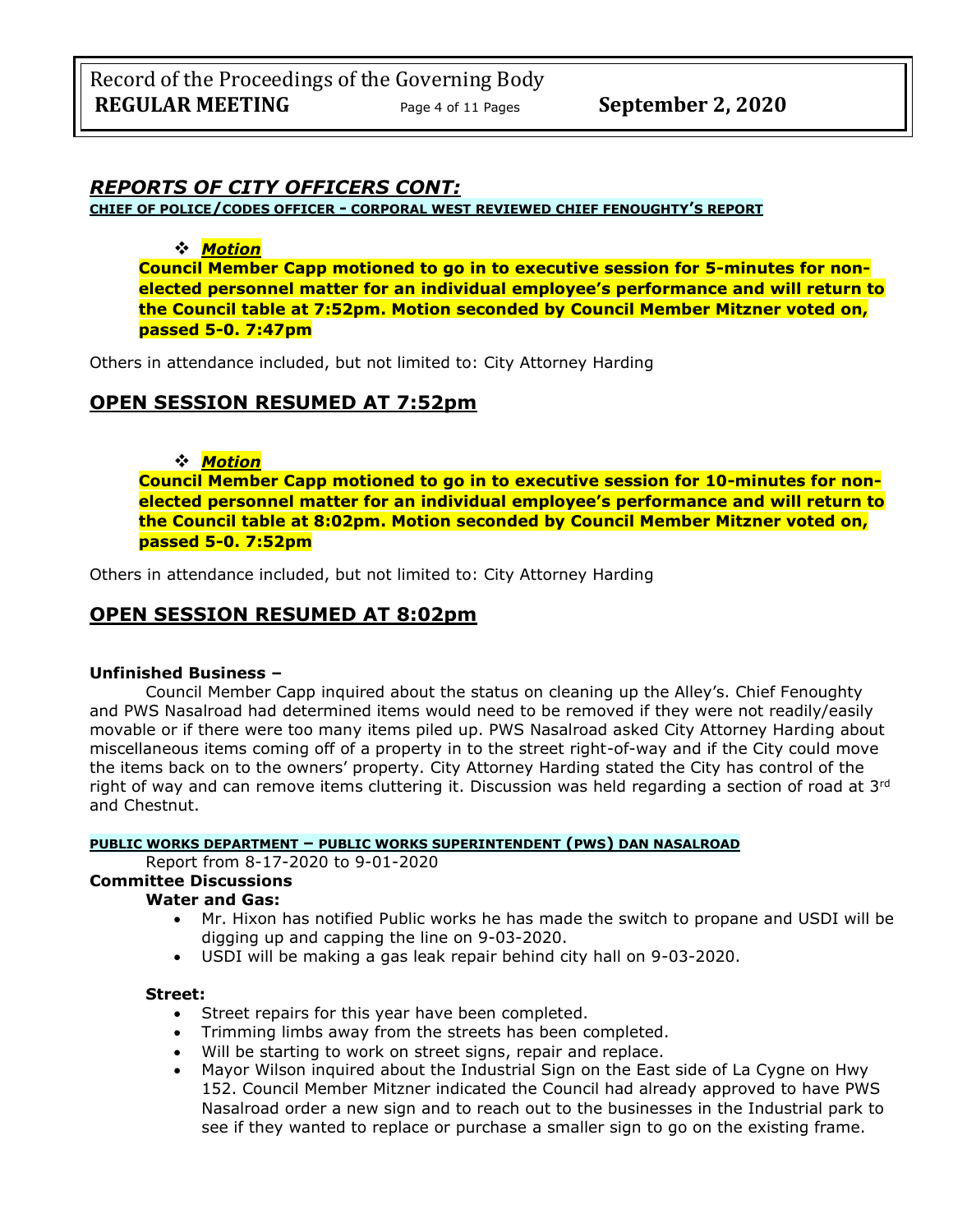**CHIEF OF POLICE/CODES OFFICER - CORPORAL WEST REVIEWED CHIEF FENOUGHTY'S REPORT**

### ❖ *Motion*

**Council Member Capp motioned to go in to executive session for 5-minutes for nonelected personnel matter for an individual employee's performance and will return to the Council table at 7:52pm. Motion seconded by Council Member Mitzner voted on, passed 5-0. 7:47pm** 

Others in attendance included, but not limited to: City Attorney Harding

# **OPEN SESSION RESUMED AT 7:52pm**

# ❖ *Motion*

**Council Member Capp motioned to go in to executive session for 10-minutes for nonelected personnel matter for an individual employee's performance and will return to the Council table at 8:02pm. Motion seconded by Council Member Mitzner voted on, passed 5-0. 7:52pm** 

Others in attendance included, but not limited to: City Attorney Harding

# **OPEN SESSION RESUMED AT 8:02pm**

### **Unfinished Business –**

Council Member Capp inquired about the status on cleaning up the Alley's. Chief Fenoughty and PWS Nasalroad had determined items would need to be removed if they were not readily/easily movable or if there were too many items piled up. PWS Nasalroad asked City Attorney Harding about miscellaneous items coming off of a property in to the street right-of-way and if the City could move the items back on to the owners' property. City Attorney Harding stated the City has control of the right of way and can remove items cluttering it. Discussion was held regarding a section of road at 3rd and Chestnut.

### **PUBLIC WORKS DEPARTMENT – PUBLIC WORKS SUPERINTENDENT (PWS) DAN NASALROAD**

Report from 8-17-2020 to 9-01-2020

# **Committee Discussions**

### **Water and Gas:**

- Mr. Hixon has notified Public works he has made the switch to propane and USDI will be digging up and capping the line on 9-03-2020.
- USDI will be making a gas leak repair behind city hall on 9-03-2020.

### **Street:**

- Street repairs for this year have been completed.
- Trimming limbs away from the streets has been completed.
- Will be starting to work on street signs, repair and replace.
- Mayor Wilson inquired about the Industrial Sign on the East side of La Cygne on Hwy 152. Council Member Mitzner indicated the Council had already approved to have PWS Nasalroad order a new sign and to reach out to the businesses in the Industrial park to see if they wanted to replace or purchase a smaller sign to go on the existing frame.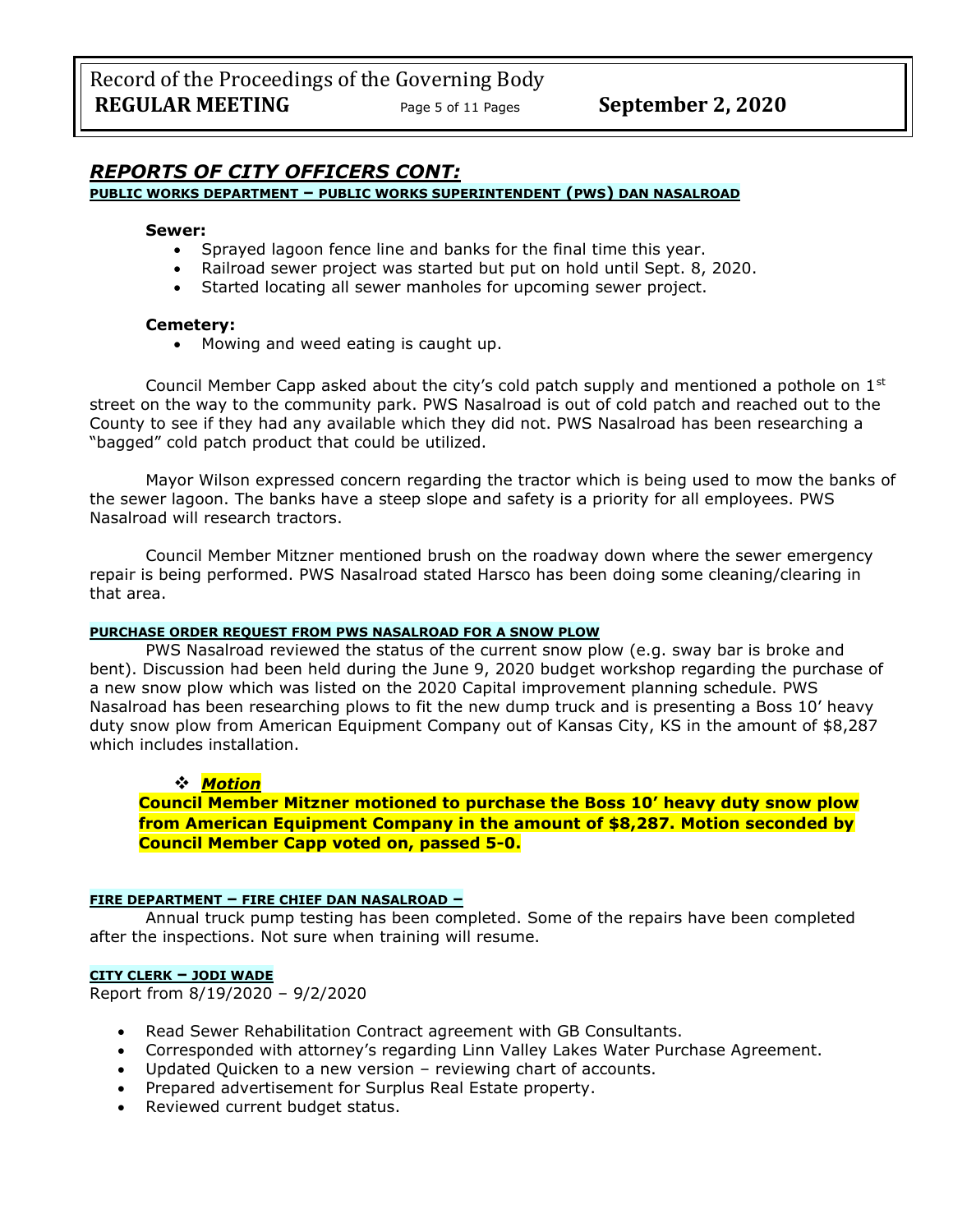#### **PUBLIC WORKS DEPARTMENT – PUBLIC WORKS SUPERINTENDENT (PWS) DAN NASALROAD**

#### **Sewer:**

- Sprayed lagoon fence line and banks for the final time this year.
- Railroad sewer project was started but put on hold until Sept. 8, 2020.
- Started locating all sewer manholes for upcoming sewer project.

#### **Cemetery:**

• Mowing and weed eating is caught up.

Council Member Capp asked about the city's cold patch supply and mentioned a pothole on  $1<sup>st</sup>$ street on the way to the community park. PWS Nasalroad is out of cold patch and reached out to the County to see if they had any available which they did not. PWS Nasalroad has been researching a "bagged" cold patch product that could be utilized.

Mayor Wilson expressed concern regarding the tractor which is being used to mow the banks of the sewer lagoon. The banks have a steep slope and safety is a priority for all employees. PWS Nasalroad will research tractors.

Council Member Mitzner mentioned brush on the roadway down where the sewer emergency repair is being performed. PWS Nasalroad stated Harsco has been doing some cleaning/clearing in that area.

#### **PURCHASE ORDER REQUEST FROM PWS NASALROAD FOR A SNOW PLOW**

PWS Nasalroad reviewed the status of the current snow plow (e.g. sway bar is broke and bent). Discussion had been held during the June 9, 2020 budget workshop regarding the purchase of a new snow plow which was listed on the 2020 Capital improvement planning schedule. PWS Nasalroad has been researching plows to fit the new dump truck and is presenting a Boss 10' heavy duty snow plow from American Equipment Company out of Kansas City, KS in the amount of \$8,287 which includes installation.

### ❖ *Motion*

**Council Member Mitzner motioned to purchase the Boss 10' heavy duty snow plow from American Equipment Company in the amount of \$8,287. Motion seconded by Council Member Capp voted on, passed 5-0.** 

#### **FIRE DEPARTMENT – FIRE CHIEF DAN NASALROAD –**

Annual truck pump testing has been completed. Some of the repairs have been completed after the inspections. Not sure when training will resume.

#### **CITY CLERK – JODI WADE**

Report from 8/19/2020 – 9/2/2020

- Read Sewer Rehabilitation Contract agreement with GB Consultants.
- Corresponded with attorney's regarding Linn Valley Lakes Water Purchase Agreement.
- Updated Quicken to a new version reviewing chart of accounts.
- Prepared advertisement for Surplus Real Estate property.
- Reviewed current budget status.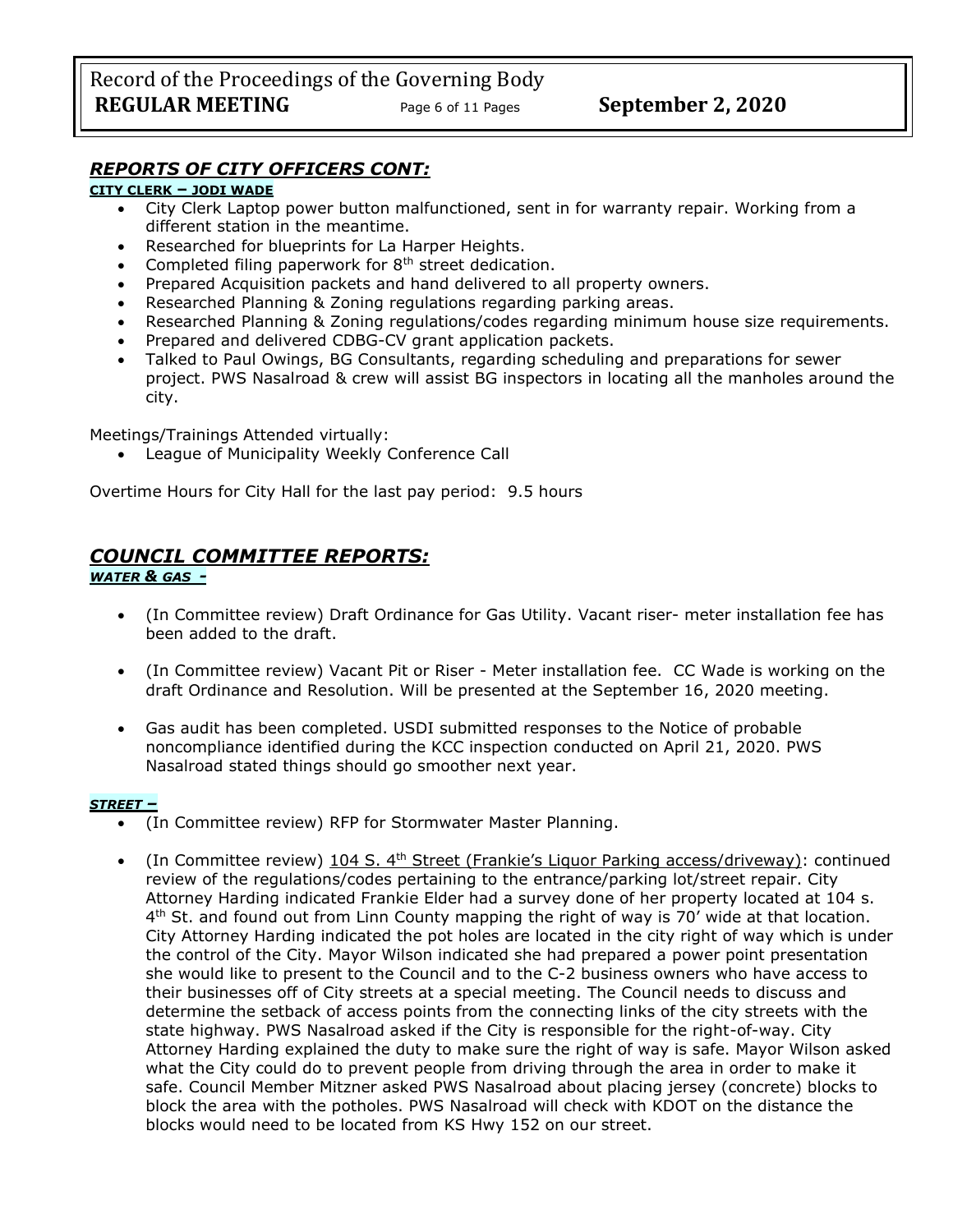### **CITY CLERK – JODI WADE**

- City Clerk Laptop power button malfunctioned, sent in for warranty repair. Working from a different station in the meantime.
- Researched for blueprints for La Harper Heights.
- Completed filing paperwork for 8<sup>th</sup> street dedication.
- Prepared Acquisition packets and hand delivered to all property owners.
- Researched Planning & Zoning regulations regarding parking areas.
- Researched Planning & Zoning regulations/codes regarding minimum house size requirements.
- Prepared and delivered CDBG-CV grant application packets.
- Talked to Paul Owings, BG Consultants, regarding scheduling and preparations for sewer project. PWS Nasalroad & crew will assist BG inspectors in locating all the manholes around the city.

Meetings/Trainings Attended virtually:

League of Municipality Weekly Conference Call

Overtime Hours for City Hall for the last pay period: 9.5 hours

# *COUNCIL COMMITTEE REPORTS:*

### *WATER & GAS -*

- (In Committee review) Draft Ordinance for Gas Utility. Vacant riser- meter installation fee has been added to the draft.
- (In Committee review) Vacant Pit or Riser Meter installation fee. CC Wade is working on the draft Ordinance and Resolution. Will be presented at the September 16, 2020 meeting.
- Gas audit has been completed. USDI submitted responses to the Notice of probable noncompliance identified during the KCC inspection conducted on April 21, 2020. PWS Nasalroad stated things should go smoother next year.

### *STREET –*

- (In Committee review) RFP for Stormwater Master Planning.
- (In Committee review) 104 S. 4<sup>th</sup> Street (Frankie's Liquor Parking access/driveway): continued review of the regulations/codes pertaining to the entrance/parking lot/street repair. City Attorney Harding indicated Frankie Elder had a survey done of her property located at 104 s. 4<sup>th</sup> St. and found out from Linn County mapping the right of way is 70' wide at that location. City Attorney Harding indicated the pot holes are located in the city right of way which is under the control of the City. Mayor Wilson indicated she had prepared a power point presentation she would like to present to the Council and to the C-2 business owners who have access to their businesses off of City streets at a special meeting. The Council needs to discuss and determine the setback of access points from the connecting links of the city streets with the state highway. PWS Nasalroad asked if the City is responsible for the right-of-way. City Attorney Harding explained the duty to make sure the right of way is safe. Mayor Wilson asked what the City could do to prevent people from driving through the area in order to make it safe. Council Member Mitzner asked PWS Nasalroad about placing jersey (concrete) blocks to block the area with the potholes. PWS Nasalroad will check with KDOT on the distance the blocks would need to be located from KS Hwy 152 on our street.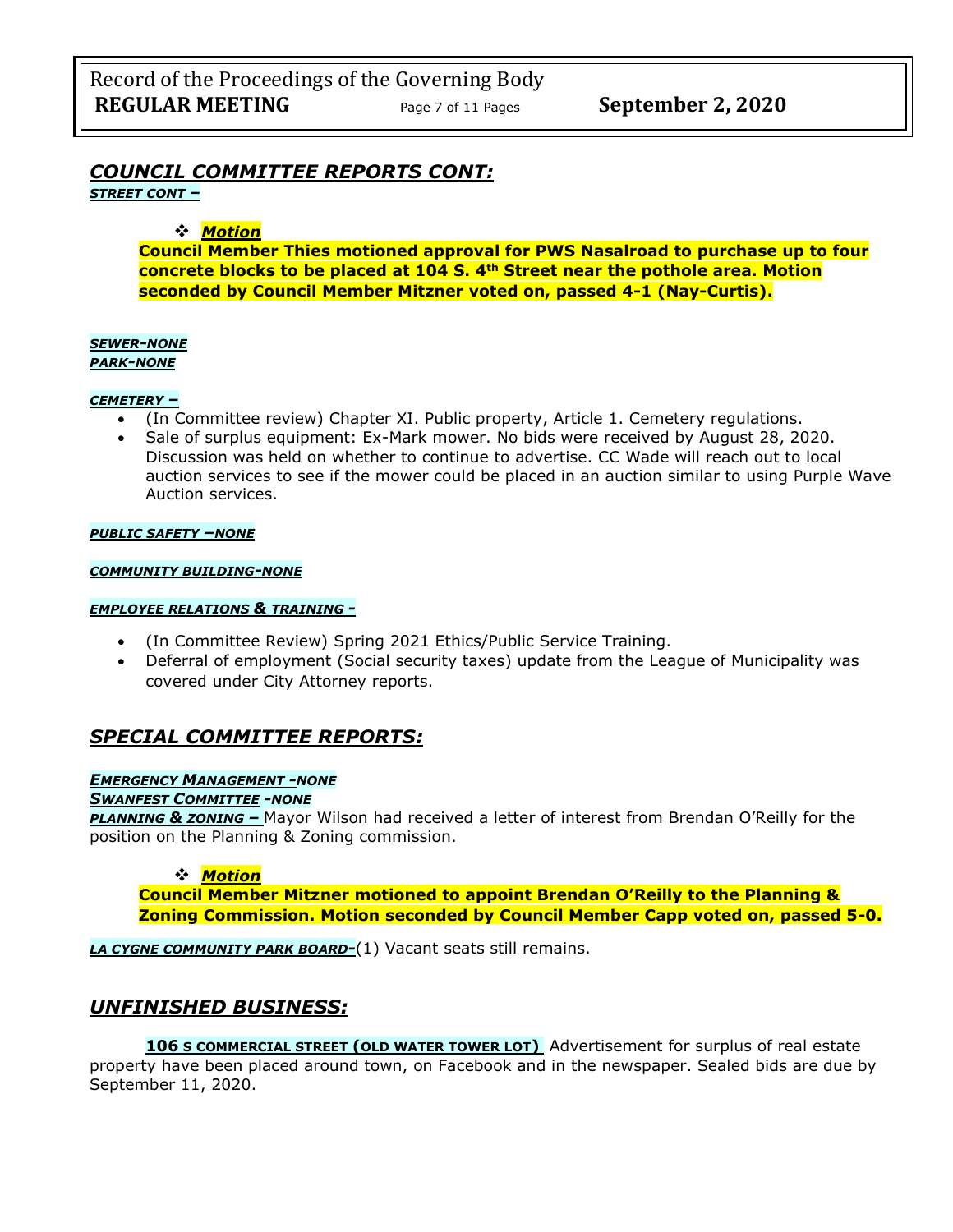# *COUNCIL COMMITTEE REPORTS CONT:*

*STREET CONT –*

### ❖ *Motion*

**Council Member Thies motioned approval for PWS Nasalroad to purchase up to four concrete blocks to be placed at 104 S. 4th Street near the pothole area. Motion seconded by Council Member Mitzner voted on, passed 4-1 (Nay-Curtis).** 

#### *SEWER-NONE PARK-NONE*

### *CEMETERY –*

- (In Committee review) Chapter XI. Public property, Article 1. Cemetery regulations.
- Sale of surplus equipment: Ex-Mark mower. No bids were received by August 28, 2020. Discussion was held on whether to continue to advertise. CC Wade will reach out to local auction services to see if the mower could be placed in an auction similar to using Purple Wave Auction services.

#### *PUBLIC SAFETY –NONE*

#### *COMMUNITY BUILDING-NONE*

#### *EMPLOYEE RELATIONS & TRAINING -*

- (In Committee Review) Spring 2021 Ethics/Public Service Training.
- Deferral of employment (Social security taxes) update from the League of Municipality was covered under City Attorney reports.

# *SPECIAL COMMITTEE REPORTS:*

#### *EMERGENCY MANAGEMENT -NONE*

#### *SWANFEST COMMITTEE -NONE*

*PLANNING & ZONING –* Mayor Wilson had received a letter of interest from Brendan O'Reilly for the position on the Planning & Zoning commission.

### ❖ *Motion*

**Council Member Mitzner motioned to appoint Brendan O'Reilly to the Planning & Zoning Commission. Motion seconded by Council Member Capp voted on, passed 5-0.** 

*LA CYGNE COMMUNITY PARK BOARD-*(1) Vacant seats still remains.

# *UNFINISHED BUSINESS:*

**106 S COMMERCIAL STREET (OLD WATER TOWER LOT)** Advertisement for surplus of real estate property have been placed around town, on Facebook and in the newspaper. Sealed bids are due by September 11, 2020.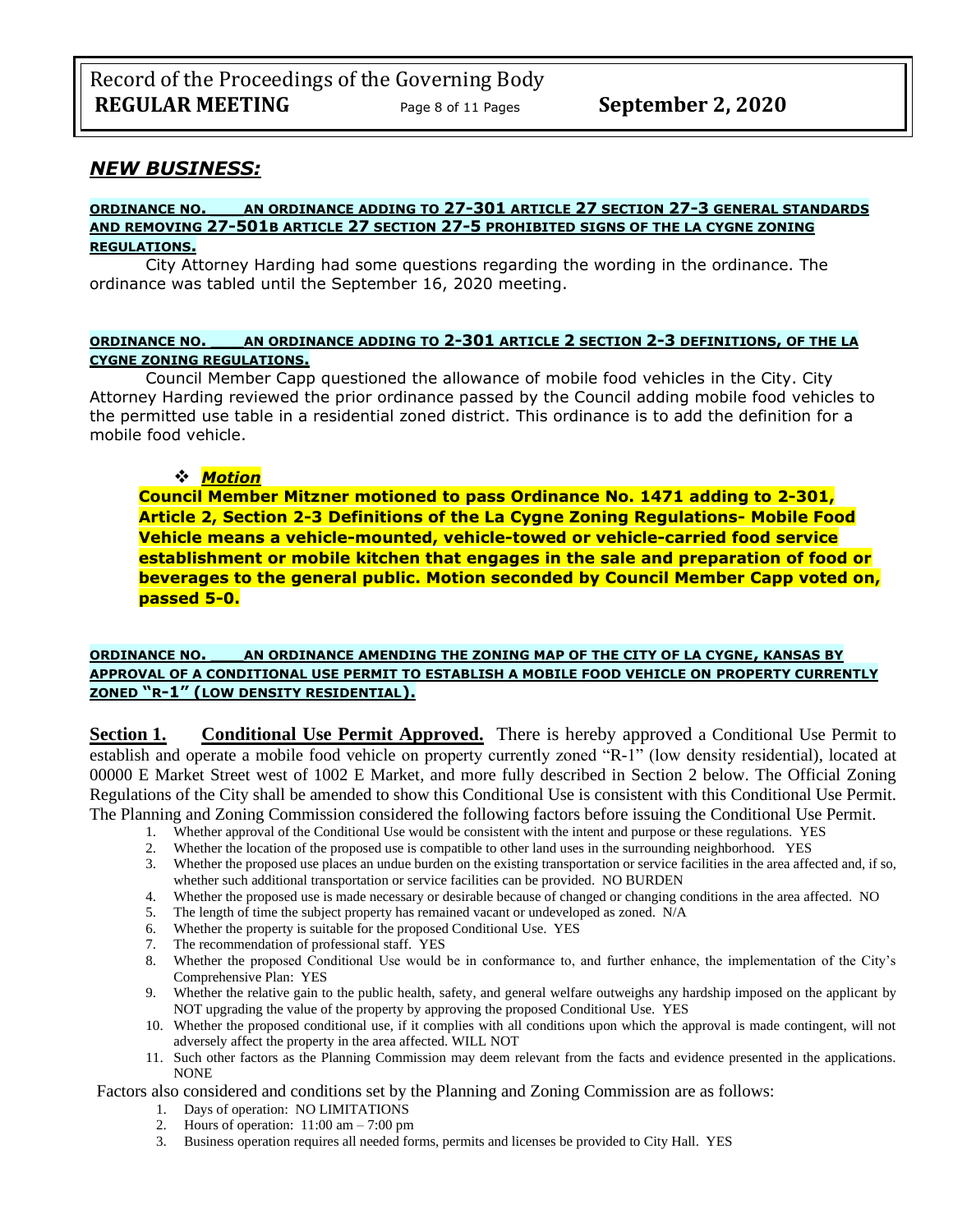### *NEW BUSINESS:*

#### **ORDINANCE NO. \_\_\_AN ORDINANCE ADDING TO 27-301 ARTICLE 27 SECTION 27-3 GENERAL STANDARDS AND REMOVING 27-501B ARTICLE 27 SECTION 27-5 PROHIBITED SIGNS OF THE LA CYGNE ZONING REGULATIONS.**

City Attorney Harding had some questions regarding the wording in the ordinance. The ordinance was tabled until the September 16, 2020 meeting.

### **ORDINANCE NO. \_\_\_AN ORDINANCE ADDING TO 2-301 ARTICLE 2 SECTION 2-3 DEFINITIONS, OF THE LA CYGNE ZONING REGULATIONS.**

Council Member Capp questioned the allowance of mobile food vehicles in the City. City Attorney Harding reviewed the prior ordinance passed by the Council adding mobile food vehicles to the permitted use table in a residential zoned district. This ordinance is to add the definition for a mobile food vehicle.

### ❖ *Motion*

**Council Member Mitzner motioned to pass Ordinance No. 1471 adding to 2-301, Article 2, Section 2-3 Definitions of the La Cygne Zoning Regulations- Mobile Food Vehicle means a vehicle-mounted, vehicle-towed or vehicle-carried food service establishment or mobile kitchen that engages in the sale and preparation of food or beverages to the general public. Motion seconded by Council Member Capp voted on, passed 5-0.** 

#### **ORDINANCE NO. \_\_\_AN ORDINANCE AMENDING THE ZONING MAP OF THE CITY OF LA CYGNE, KANSAS BY APPROVAL OF A CONDITIONAL USE PERMIT TO ESTABLISH A MOBILE FOOD VEHICLE ON PROPERTY CURRENTLY ZONED "R-1" (LOW DENSITY RESIDENTIAL).**

**Section 1. Conditional Use Permit Approved.** There is hereby approved a Conditional Use Permit to establish and operate a mobile food vehicle on property currently zoned "R-1" (low density residential), located at 00000 E Market Street west of 1002 E Market, and more fully described in Section 2 below. The Official Zoning Regulations of the City shall be amended to show this Conditional Use is consistent with this Conditional Use Permit. The Planning and Zoning Commission considered the following factors before issuing the Conditional Use Permit.

- 1. Whether approval of the Conditional Use would be consistent with the intent and purpose or these regulations. YES
- 2. Whether the location of the proposed use is compatible to other land uses in the surrounding neighborhood. YES
- 3. Whether the proposed use places an undue burden on the existing transportation or service facilities in the area affected and, if so, whether such additional transportation or service facilities can be provided. NO BURDEN
- 4. Whether the proposed use is made necessary or desirable because of changed or changing conditions in the area affected. NO
- 5. The length of time the subject property has remained vacant or undeveloped as zoned. N/A<br>6. Whether the property is suitable for the proposed Conditional Use. YES
- Whether the property is suitable for the proposed Conditional Use. YES
- 7. The recommendation of professional staff. YES
- 8. Whether the proposed Conditional Use would be in conformance to, and further enhance, the implementation of the City's Comprehensive Plan: YES
- 9. Whether the relative gain to the public health, safety, and general welfare outweighs any hardship imposed on the applicant by NOT upgrading the value of the property by approving the proposed Conditional Use. YES
- 10. Whether the proposed conditional use, if it complies with all conditions upon which the approval is made contingent, will not adversely affect the property in the area affected. WILL NOT
- 11. Such other factors as the Planning Commission may deem relevant from the facts and evidence presented in the applications. NONE

Factors also considered and conditions set by the Planning and Zoning Commission are as follows:

- 1. Days of operation: NO LIMITATIONS
- 2. Hours of operation: 11:00 am 7:00 pm
- 3. Business operation requires all needed forms, permits and licenses be provided to City Hall. YES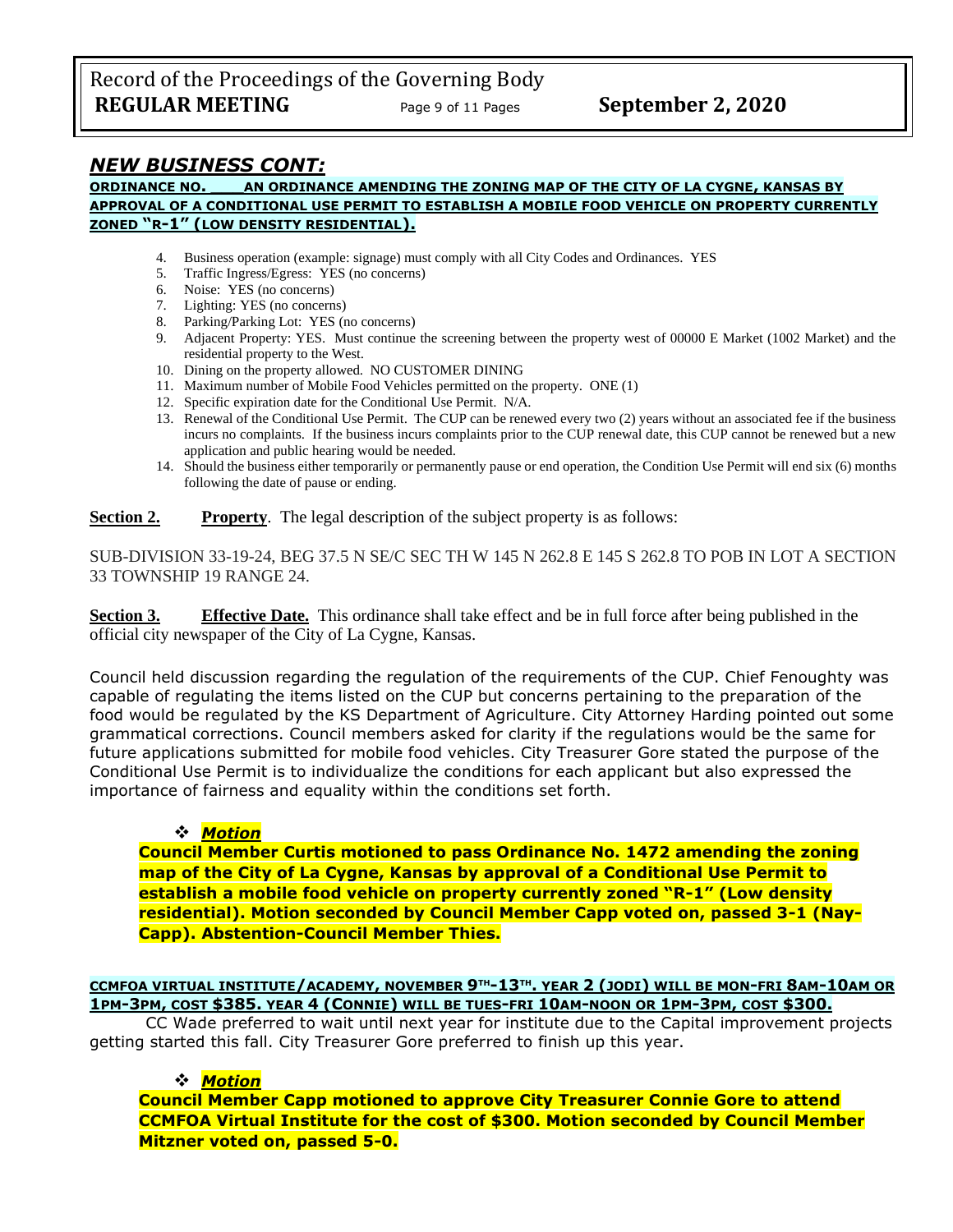Record of the Proceedings of the Governing Body **REGULAR MEETING** Page 9 of 11 Pages **September 2, 2020** 

# *NEW BUSINESS CONT:*

#### **ORDINANCE NO. \_\_\_AN ORDINANCE AMENDING THE ZONING MAP OF THE CITY OF LA CYGNE, KANSAS BY APPROVAL OF A CONDITIONAL USE PERMIT TO ESTABLISH A MOBILE FOOD VEHICLE ON PROPERTY CURRENTLY ZONED "R-1" (LOW DENSITY RESIDENTIAL).**

- 4. Business operation (example: signage) must comply with all City Codes and Ordinances. YES
- 5. Traffic Ingress/Egress: YES (no concerns)
- 6. Noise: YES (no concerns)
- 7. Lighting: YES (no concerns)
- 8. Parking/Parking Lot: YES (no concerns)
- 9. Adjacent Property: YES. Must continue the screening between the property west of 00000 E Market (1002 Market) and the residential property to the West.
- 10. Dining on the property allowed. NO CUSTOMER DINING
- 11. Maximum number of Mobile Food Vehicles permitted on the property. ONE (1)
- 12. Specific expiration date for the Conditional Use Permit. N/A.
- 13. Renewal of the Conditional Use Permit. The CUP can be renewed every two (2) years without an associated fee if the business incurs no complaints. If the business incurs complaints prior to the CUP renewal date, this CUP cannot be renewed but a new application and public hearing would be needed.
- 14. Should the business either temporarily or permanently pause or end operation, the Condition Use Permit will end six (6) months following the date of pause or ending.

**Section 2. Property**. The legal description of the subject property is as follows:

SUB-DIVISION 33-19-24, BEG 37.5 N SE/C SEC TH W 145 N 262.8 E 145 S 262.8 TO POB IN LOT A SECTION 33 TOWNSHIP 19 RANGE 24.

**Section 3. Effective Date.** This ordinance shall take effect and be in full force after being published in the official city newspaper of the City of La Cygne, Kansas.

Council held discussion regarding the regulation of the requirements of the CUP. Chief Fenoughty was capable of regulating the items listed on the CUP but concerns pertaining to the preparation of the food would be regulated by the KS Department of Agriculture. City Attorney Harding pointed out some grammatical corrections. Council members asked for clarity if the regulations would be the same for future applications submitted for mobile food vehicles. City Treasurer Gore stated the purpose of the Conditional Use Permit is to individualize the conditions for each applicant but also expressed the importance of fairness and equality within the conditions set forth.

### ❖ *Motion*

**Council Member Curtis motioned to pass Ordinance No. 1472 amending the zoning map of the City of La Cygne, Kansas by approval of a Conditional Use Permit to establish a mobile food vehicle on property currently zoned "R-1" (Low density residential). Motion seconded by Council Member Capp voted on, passed 3-1 (Nay-Capp). Abstention-Council Member Thies.**

### <u>CCMFOA VIRTUAL INSTITUTE/ACADEMY, NOVEMBER 9™-13™. YEAR 2 (JODI) WILL BE MON-FRI 8AM-10AM OR</u> 1PM-3PM, COST \$385. YEAR 4 (CONNIE) WILL BE TUES-FRI 10AM-NOON OR 1PM-3PM, COST \$300.

CC Wade preferred to wait until next year for institute due to the Capital improvement projects getting started this fall. City Treasurer Gore preferred to finish up this year.

### ❖ *Motion*

**Council Member Capp motioned to approve City Treasurer Connie Gore to attend CCMFOA Virtual Institute for the cost of \$300. Motion seconded by Council Member Mitzner voted on, passed 5-0.**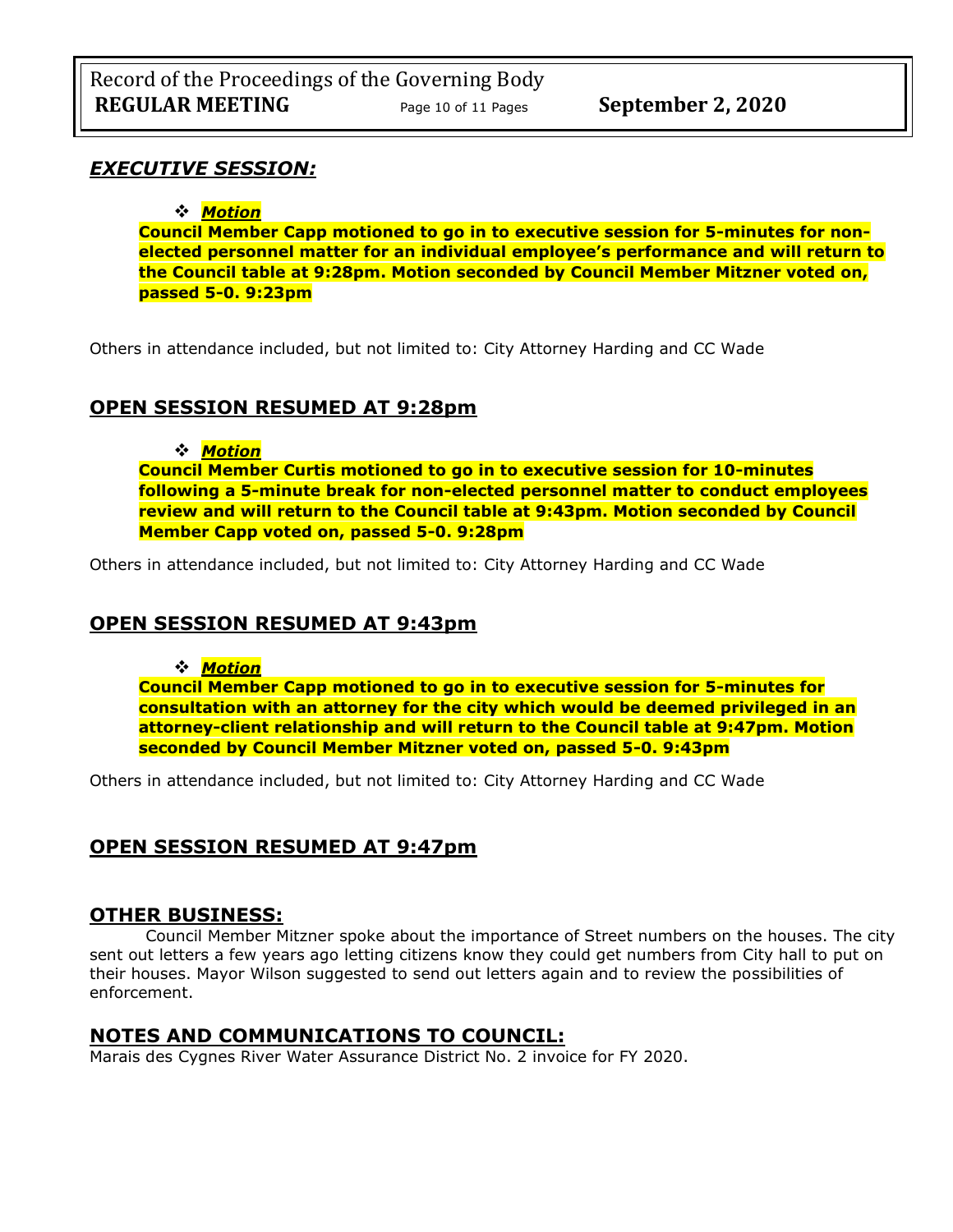# *EXECUTIVE SESSION:*

# ❖ *Motion*

**Council Member Capp motioned to go in to executive session for 5-minutes for nonelected personnel matter for an individual employee's performance and will return to the Council table at 9:28pm. Motion seconded by Council Member Mitzner voted on, passed 5-0. 9:23pm** 

Others in attendance included, but not limited to: City Attorney Harding and CC Wade

# **OPEN SESSION RESUMED AT 9:28pm**

### ❖ *Motion*

**Council Member Curtis motioned to go in to executive session for 10-minutes following a 5-minute break for non-elected personnel matter to conduct employees review and will return to the Council table at 9:43pm. Motion seconded by Council Member Capp voted on, passed 5-0. 9:28pm** 

Others in attendance included, but not limited to: City Attorney Harding and CC Wade

# **OPEN SESSION RESUMED AT 9:43pm**

### ❖ *Motion*

**Council Member Capp motioned to go in to executive session for 5-minutes for consultation with an attorney for the city which would be deemed privileged in an attorney-client relationship and will return to the Council table at 9:47pm. Motion seconded by Council Member Mitzner voted on, passed 5-0. 9:43pm** 

Others in attendance included, but not limited to: City Attorney Harding and CC Wade

# **OPEN SESSION RESUMED AT 9:47pm**

# **OTHER BUSINESS:**

Council Member Mitzner spoke about the importance of Street numbers on the houses. The city sent out letters a few years ago letting citizens know they could get numbers from City hall to put on their houses. Mayor Wilson suggested to send out letters again and to review the possibilities of enforcement.

# **NOTES AND COMMUNICATIONS TO COUNCIL:**

Marais des Cygnes River Water Assurance District No. 2 invoice for FY 2020.